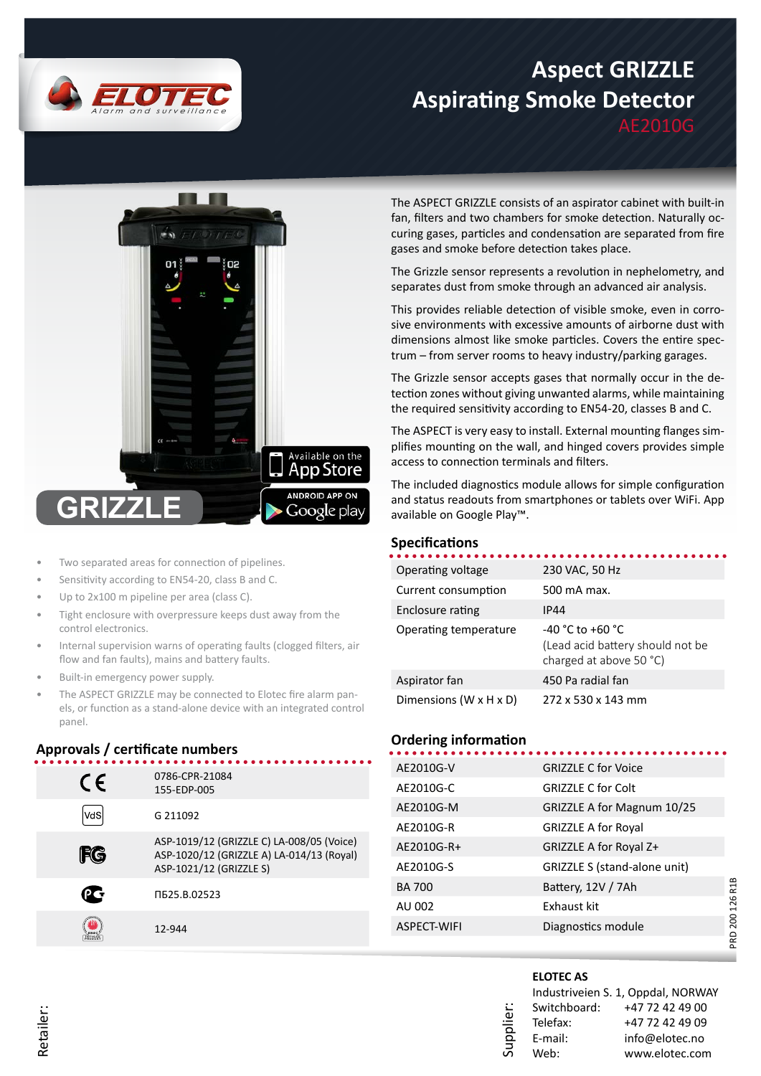

# **Aspect GRIZZLE Aspirating Smoke Detector**

AE2010G



- Two separated areas for connection of pipelines.
- Sensitivity according to EN54-20, class B and C.
- Up to 2x100 m pipeline per area (class C).
- Tight enclosure with overpressure keeps dust away from the control electronics.
- Internal supervision warns of operating faults (clogged filters, air flow and fan faults), mains and battery faults.
- Built-in emergency power supply.
- The ASPECT GRIZZLE may be connected to Elotec fire alarm panels, or function as a stand-alone device with an integrated control panel.

## **Approvals / certificate numbers**

| CE  | 0786-CPR-21084<br>155-EDP-005                                                                                     |
|-----|-------------------------------------------------------------------------------------------------------------------|
| vdS | G 211092                                                                                                          |
| ifg | ASP-1019/12 (GRIZZLE C) LA-008/05 (Voice)<br>ASP-1020/12 (GRIZZLE A) LA-014/13 (Royal)<br>ASP-1021/12 (GRIZZLE S) |
|     | ПБ25.В.02523                                                                                                      |
|     | 12-944                                                                                                            |
|     |                                                                                                                   |

The ASPECT GRIZZLE consists of an aspirator cabinet with built-in fan, filters and two chambers for smoke detection. Naturally occuring gases, particles and condensation are separated from fire gases and smoke before detection takes place.

The Grizzle sensor represents a revolution in nephelometry, and separates dust from smoke through an advanced air analysis.

This provides reliable detection of visible smoke, even in corrosive environments with excessive amounts of airborne dust with dimensions almost like smoke particles. Covers the entire spectrum – from server rooms to heavy industry/parking garages.

The Grizzle sensor accepts gases that normally occur in the detection zones without giving unwanted alarms, while maintaining the required sensitivity according to EN54-20, classes B and C.

The ASPECT is very easy to install. External mounting flanges simplifies mounting on the wall, and hinged covers provides simple access to connection terminals and filters.

The included diagnostics module allows for simple configuration and status readouts from smartphones or tablets over WiFi. App available on Google Play™.

#### **Specifications**

| Operating voltage                    | 230 VAC, 50 Hz                                                                      |
|--------------------------------------|-------------------------------------------------------------------------------------|
| Current consumption                  | 500 mA max.                                                                         |
| Enclosure rating                     | IP44                                                                                |
| Operating temperature                | $-40 °C$ to $+60 °C$<br>(Lead acid battery should not be<br>charged at above 50 °C) |
| Aspirator fan                        | 450 Pa radial fan                                                                   |
| Dimensions (W $\times$ H $\times$ D) | 272 x 530 x 143 mm                                                                  |
|                                      |                                                                                     |

#### **Ordering information**

| AE2010G-V     | <b>GRIZZLE C for Voice</b>   |  |
|---------------|------------------------------|--|
| AE2010G-C     | <b>GRIZZLE C for Colt</b>    |  |
| AE2010G-M     | GRIZZLE A for Magnum 10/25   |  |
| AE2010G-R     | <b>GRIZZLE A for Royal</b>   |  |
| AE2010G-R+    | GRIZZLE A for Royal Z+       |  |
| AE2010G-S     | GRIZZLE S (stand-alone unit) |  |
| <b>BA 700</b> | Battery, 12V / 7Ah           |  |
| AU 002        | Exhaust kit                  |  |
| ASPECT-WIFI   | Diagnostics module           |  |
|               |                              |  |

#### **ELOTEC AS**

**Supplier** 

|              | Industriveien S. 1, Oppdal, NORWAY |
|--------------|------------------------------------|
| Switchboard: | +47 72 42 49 00                    |
| Telefax:     | +47 72 42 49 09                    |
| E-mail:      | info@elotec.no                     |
| Web:         | www.elotec.com                     |

PRD 200 126 R1B

PRD 200 126 R1B